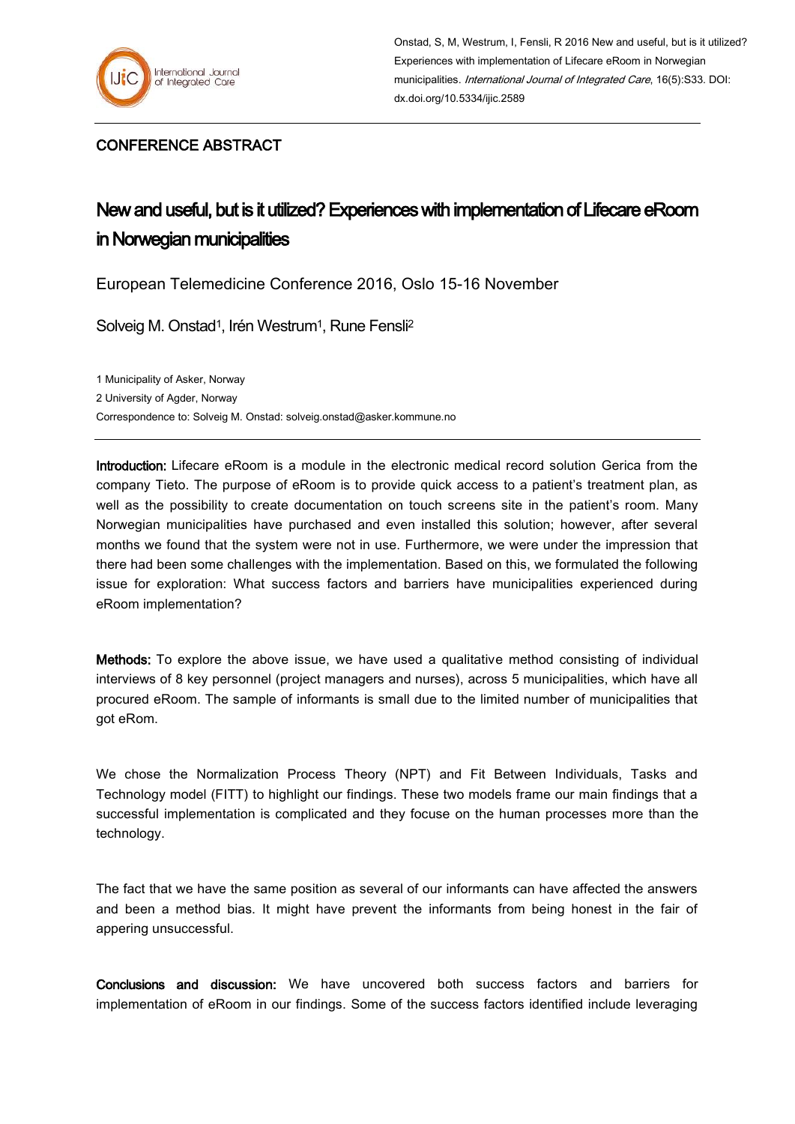

Onstad, S, M, Westrum, I, Fensli, R 2016 New and useful, but is it utilized? Experiences with implementation of Lifecare eRoom in Norwegian municipalities. *International Journal of Integrated Care*, 16(5):S33. DOI: dx.doi.org/10.5334/ijic.2589

## CONFERENCE ABSTRACT

## New and useful, but is it utilized? Experiences with implementation of Lifecare eRoom in Norwegian municipalities

European Telemedicine Conference 2016, Oslo 15-16 November

Solveig M. Onstad<sup>1</sup>, Irén Westrum<sup>1</sup>, Rune Fensli<sup>2</sup>

1 Municipality of Asker, Norway 2 University of Agder, Norway Correspondence to: Solveig M. Onstad[: solveig.onstad@asker.kommune.no](mailto:solveig.onstad@asker.kommune.no)

Introduction: Lifecare eRoom is a module in the electronic medical record solution Gerica from the company Tieto. The purpose of eRoom is to provide quick access to a patient's treatment plan, as well as the possibility to create documentation on touch screens site in the patient's room. Many Norwegian municipalities have purchased and even installed this solution; however, after several months we found that the system were not in use. Furthermore, we were under the impression that there had been some challenges with the implementation. Based on this, we formulated the following issue for exploration: What success factors and barriers have municipalities experienced during eRoom implementation?

Methods: To explore the above issue, we have used a qualitative method consisting of individual interviews of 8 key personnel (project managers and nurses), across 5 municipalities, which have all procured eRoom. The sample of informants is small due to the limited number of municipalities that got eRom.

We chose the Normalization Process Theory (NPT) and Fit Between Individuals, Tasks and Technology model (FITT) to highlight our findings. These two models frame our main findings that a successful implementation is complicated and they focuse on the human processes more than the technology.

The fact that we have the same position as several of our informants can have affected the answers and been a method bias. It might have prevent the informants from being honest in the fair of appering unsuccessful.

Conclusions and discussion: We have uncovered both success factors and barriers for implementation of eRoom in our findings. Some of the success factors identified include leveraging